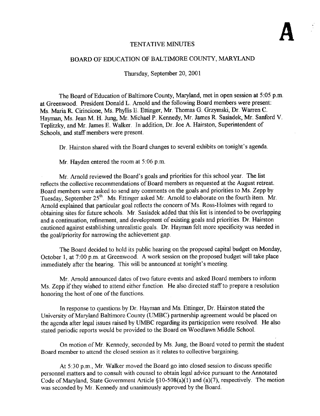## TENTATIVE MINUTES

#### BOARD OF EDUCATION OF BALTIMORE COUNTY, MARYLAND

Thursday, September 20, 2001

The Board of Education of Baltimore County, Maryland, met in open session at <sup>5</sup> :05 p.m. at Greenwood. President Donald L. Arnold and the following Board members were present : Ms. Maria R. Cirincione, Ms. Phyllis E. Ettinger, Mr. Thomas G. Grzymski, Dr. Warren C. Hayman, Ms. Jean M. H. Jung, Mr. Michael <sup>P</sup> . Kennedy, Mr. James R. Sasiadek, Mr. Sanford V. Teplitzky, and Mr. James E. Walker. In addition, Dr. Joe A. Hairston, Superintendent of Schools, and staff members were present.

Dr. Hairston shared with the Board changes to several exhibits on tonight's agenda.

Mr. Hayden entered the room at 5:06 p.m.

Mr. Arnold reviewed the Board's goals and priorities for this school year. The list reflects the collective recommendations of Board members as requested at the August retreat . Board members were asked to send any comments on the goals and priorities to Ms. Zepp by Tuesday, September 25<sup>th</sup>. Ms. Ettinger asked Mr. Arnold to elaborate on the fourth item. Mr. Arnold explained that particular goal reflects the concern of Ms. Ross-Holmes with regard to obtaining sites for future schools Mr Sasiadek added that this list is intended to be overlapping and <sup>a</sup> continuation, refinement, and development of existing goals and priorities. Dr. Hairston cautioned against establishing unrealistic goals. Dr. Hayman felt more specificity was needed in the goal/priority for narrowing the achievement gap .

The Board decided to hold its public hearing on the proposed capital budget on Monday, October 1, at 7:00 p.m. at Greenwood. A work session on the proposed budget will take place immediately after the hearing. This will be announced at tonight's meeting.

Mr. Arnold announced dates of two future events and asked Board members to inform Ms. Zepp if they wished to attend either function. He also directed staff to prepare <sup>a</sup> resolution honoring the host of one of the functions.

In response to questions by Dr. Hayman and Ms. Ettinger, Dr. Hairston stated the University of Maryland Baltimore County (UMBC) partnership agreement would be placed on the agenda after legal issues raised by UMBC regarding its participation were resolved. He also stated periodic reports would be provided to the Board on Woodlawn Middle School.

On motion of Mr. Kennedy, seconded by Ms. Jung, the Board voted to permit the student Board member to attend the closed session as it relates to collective bargaining.

At 5:30 p.m., Mr. Walker moved the Board go into closed session to discuss specific personnel matters and to consult with counsel to obtain legal advice pursuant to the Annotated Code of Maryland, State Government Article §10-508(a)(1) and (a)(7), respectively. The motion was seconded by Mr . Kennedy and unanimously approved by the Board.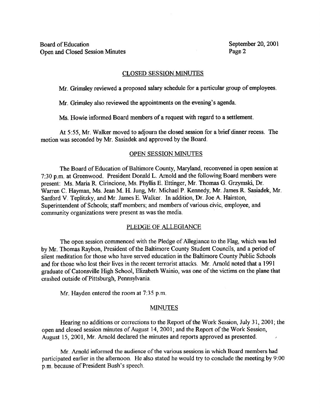### CLOSED SESSION MINUTES

Mr. Grimsley reviewed a proposed salary schedule for a particular group of employees.

Mr. Grimsley also reviewed the appointments on the evening's agenda.

Ms. Howie informed Board members of a request with regard to a settlement.

At 5:55, Mr. Walker moved to adjourn the closed session for a brief dinner recess. The motion was seconded by Mr. Sasiadek and approved by the Board.

## OPEN SESSION MINUTES

The Board of Education of Baltimore County, Maryland, reconvened in open session at 7:30 p.m. at Greenwood. President Donald L. Arnold and the following Board members were present: Ms. Maria R. Cirincione, Ms. Phyllis E. Ettinger, Mr. Thomas G. Grzymski, Dr. Warren C. Hayman, Ms. Jean M. H. Jung, Mr. Michael P. Kennedy, Mr. James R. Sasiadek, Mr. Sanford V. Teplitzky, and Mr . James E. Walker. In addition, Dr. Joe A. Hairston, Superintendent of Schools; staff members; and members of various civic, employee, and community organizations were present as was the media.

## PLEDGE OF ALLEGIANCE

The open session commenced with the Pledge of Allegiance to the Flag, which was led by Mr. Thomas Raybon, President of the Baltimore County Student Councils, and a period of silent meditation for those who have served education in the Baltimore County Public Schools and for those who lost their lives in the recent terrorist attacks . Mr. Arnold noted that <sup>a</sup> 1991 graduate of Catonsville High School, Elizabeth Wainio, was one of the victims on the plane that crashed outside of Pittsburgh, Pennsylvania.

Mr. Hayden entered the room at 7:35 p.m.

#### MINUTES

Hearing no additions or corrections to the Report of the Work Session, July 31, 2001; the open and closed session minutes of August 14, 2001 ; and the Report of the Work Session, August 15, 2001, Mr. Arnold declared the minutes and reports approved as presented.

Mr. Arnold informed the audience of the various sessions in which Board members had participated earlier in the afternoon. He also stated he would try to conclude the meeting by 9:00 p.m. because of President Bush's speech.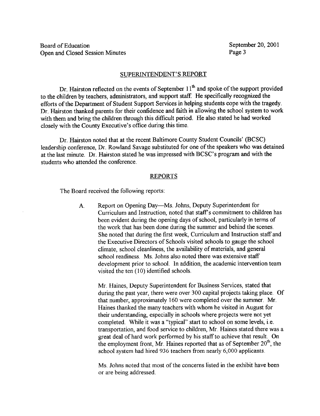#### SUPERINTENDENT'S REPORT

Dr. Hairston reflected on the events of September  $11<sup>th</sup>$  and spoke of the support provided to the children by teachers, administrators, and support staff. He specifically recognized the efforts of the Department of Student Support Services in helping students cope with the tragedy. Dr. Hairston thanked parents for their confidence and faith in allowing the school system to work with them and bring the children through this difficult period. He also stated he had worked closely with the County Executive's office during this time.

Dr. Hairston noted that at the recent Baltimore County Student Councils' (BCSC) leadership conference, Dr. Rowland Savage substituted for one of the speakers who was detained at the last minute. Dr. Hairston stated he was impressed with BCSC's program and with the students who attended the conference .

#### REPORTS

The Board received the following reports:

A. Report on Opening Day-Ms . Johns, Deputy Superintendent for Curriculum and Instruction, noted that staff's commitment to children has been evident during the opening days of school, particularly in terms of the work that has been done during the summer and behind the scenes. She noted that during the first week, Curriculum and Instruction staff and the Executive Directors of Schools visited schools to gauge the school climate, school cleanliness, the availability of materials, and general school readiness. Ms. Johns also noted there was extensive staff development prior to school. In addition, the academic intervention team visited the ten (10) identified schools.

Mr Haines, Deputy Superintendent for Business Services, stated that during the past year, there were over 300 capital projects taking place. Of that number, approximately 160 were completed over the summer. Mr. Haines thanked the many teachers with whom he visited in August for their understanding, especially in schools where projects were not yet completed. While it was a "typical" start to school on some levels, i.e. transportation, and food service to children, Mr. Haines stated there was a great deal of hard work performed by his staff to achieve that result. On the employment front, Mr. Haines reported that as of September  $20<sup>th</sup>$ , the school system had hired 936 teachers from nearly 6,000 applicants

Ms. Johns noted that most of the concerns listed in the exhibit have been or are being addressed.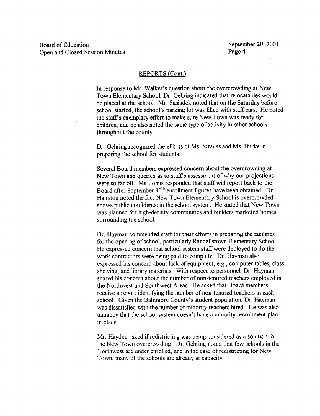In response to Mr. Walker's question about the overcrowding at New Town Elementary School, Dr. Gehring indicated that relocatables would be placed at the school. Mr. Sasiadek noted that on the Saturday before school started, the school's parking lot was filled with staff cars. He noted the staff's exemplary effort to make sure New Town was ready for children, and he also noted the same type of activity in other schools throughout the county.

Dr. Gehring recognized the efforts of Ms. Strauss and Ms. Burke in preparing the school for students

Several Board members expressed concern about the overcrowding at New Town and queried as to staff's assessment of why our projections were so far off. Ms. Johns responded that staff will report back to the Board after September 30<sup>th</sup> enrollment figures have been obtained. Dr. Hairston noted the fact New Town Elementary School is overcrowded shows public confidence in the school system . He stated that New Town was planned for high-density communities and builders marketed homes surrounding the school.

Dr. Hayman commended staff for their efforts in preparing the facilities for the opening of school, particularly Randallstown Elementary School . He expressed concern that school system staff were deployed to do the work contractors were being paid to complete. Dr. Hayman also expressed his concern about lack of equipment, e.g., computer tables, class shelving, and library materials. With respect to personnel, Dr. Hayman shared his concern about the number of non-tenured teachers employed in the Northwest and Southwest Areas. He asked that Board members receive a report identifying the number of non-tenured teachers in each school. Given the Baltimore County's student population, Dr. Hayman was dissatisfied with the number of minority teachers hired. He was also unhappy that the school system doesn't have a minority recruitment plan in place.

Mr. Hayden asked if redistricting was being considered as <sup>a</sup> solution for the New Town overcrowding . Dr. Gehring noted that few schools in the Northwest are under enrolled, and in the case of redistricting for New Town, many of the schools are already at capacity.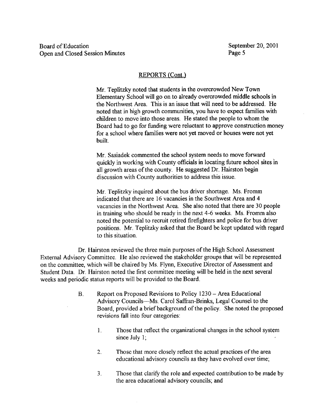Mr. Teplitzky noted that students in the overcrowded New Town Elementary School will go on to already overcrowded middle schools in the Northwest Area. This is an issue that will need to be addressed. He noted that in high growth communities, you have to expect families with children to move into those areas. He stated the people to whom the Board had to go for funding were reluctant to approve construction money for a school where families were not yet moved or houses were not yet built.

Mr. Sasiadek commented the school system needs to move forward quickly in working with County officials in locating future school sites in all growth areas of the county. He suggested Dr. Hairston begin discussion with County authorities to address this issue .

Mr. Teplitzky inquired about the bus driver shortage. Ms. Fromm indicated that there are 16 vacancies in the Southwest Area and 4 vacancies in the Northwest Area. She also noted that there are 30 people in training who should be ready in the next 4-6 weeks. Ms. Fromm also noted the potential to recruit retired firefighters and police for bus driver positions . Mr. Teplitzky asked that the Board be kept updated with regard to this situation.

Dr. Hairston reviewed the three main purposes of the High School Assessment External Advisory Committee. He also reviewed the stakeholder groups that will be represented on the committee, which will be chaired by Ms. Flynn, Executive Director of Assessment and Student Data. Dr. Hairston noted the first committee meeting will be held in the next several weeks and periodic status reports will be provided to the Board.

- B. Report on Proposed Revisions to Policy 1230 Area Educational Advisory Councils-Ms. Carol Saffran-Brinks, Legal Counsel to the Board, provided a brief background of the policy . She noted the proposed revisions fall into four categories
	- <sup>1</sup> . Those that reflect the organizational changes in the school system since July  $1$ ;
	- 2. Those that more closely reflect the actual practices of the area educational advisory councils as they have evolved over time;
	- 3 . Those that clarify the role and expected contribution to be made by the area educational advisory councils; and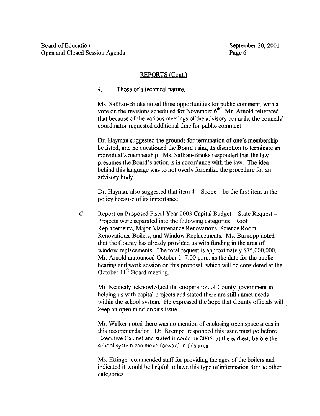4 . Those of <sup>a</sup> technical nature.

Ms. Saffran-Brinks noted three opportunities for public comment, with <sup>a</sup> vote on the revisions scheduled for November  $6<sup>th</sup>$ . Mr. Arnold reiterated that because of the various meetings of the advisory councils, the councils' coordinator requested additional time for public comment.

Dr. Hayman suggested the grounds for termination of one's membership be listed, and he questioned the Board using its discretion to terminate an individual's membership. Ms. Saffran-Brinks responded that the law presumes the Board's action is in accordance with the law. The idea behind this language was to not overly formalize the procedure for an advisory body.

Dr. Hayman also suggested that item  $4 -$ Scope  $-$  be the first item in the policy because of its importance.

C. Report on Proposed Fiscal Year 2003 Capital Budget - State Request -Projects were separated into the following categories: Roof Replacements, Major Maintenance Renovations, Science Room Renovations, Boilers, and Window Replacements . Ms. Burnopp noted that the County has already provided us with funding in the area of window replacements. The total request is approximately \$75,000,000. Mr. Arnold announced October 1, 7:00 p.m., as the date for the public hearing and work session on this proposal, which will be considered at the October 11<sup>th</sup> Board meeting.

Mr. Kennedy acknowledged the cooperation of County government in helping us with capital projects and stated there are still unmet needs within the school system. He expressed the hope that County officials will keep an open mind on this issue .

Mr. Walker noted there was no mention of enclosing open space areas in this recommendation. Dr. Krempel responded this issue must go before Executive Cabinet and stated it could be 2004, at the earliest, before the school system can move forward in this area.

Ms. Ettinger commended staff for providing the ages of the boilers and indicated it would be helpful to have this type of information for the other categories .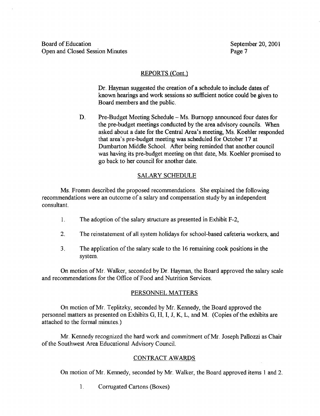Dr. Hayman suggested the creation of a schedule to include dates of known hearings and work sessions so sufficient notice could be given to Board members and the public.

D. Pre-Budget Meeting Schedule – Ms. Burnopp announced four dates for the pre-budget meetings conducted by the area advisory councils. When asked about <sup>a</sup> date for the Central Area's meeting, Ms. Koehler responded that area's pre-budget meeting was scheduled for October 17 at Dumbarton Middle School. After being reminded that another council was having its pre-budget meeting on that date, Ms. Koehler promised to go back to her council for another date.

# SALARY SCHEDULE

Ms. Fromm described the proposed recommendations. She explained the following recommendations were an outcome of a salary and compensation study by an independent consultant.

- 1. The adoption of the salary structure as presented in Exhibit F-2,
- 2. The reinstatement of all system holidays for school-based cafeteria workers, and
- 3 . The application ofthe salary scale to the 16 remaining cook positions in the system.

On motion of Mr. Walker, seconded by Dr. Hayman, the Board approved the salary scale and recommendations for the Office of Food and Nutrition Services.

## PERSONNEL MATTERS

On motion ofMr. Teplitzky, seconded by Mr. Kennedy, the Board approved the personnel matters as presented on Exhibits G, H, I, J, K, L, and M. (Copies of the exhibits are attached to the formal minutes.)

Mr. Kennedy recognized the hard work and commitment of Mr. Joseph Pallozzi as Chair of the Southwest Area Educational Advisory Council .

## CONTRACT AWARDS

On motion of Mr. Kennedy, seconded by Mr. Walker, the Board approved items <sup>1</sup> and 2.

<sup>1</sup> . Corrugated Cartons (Boxes)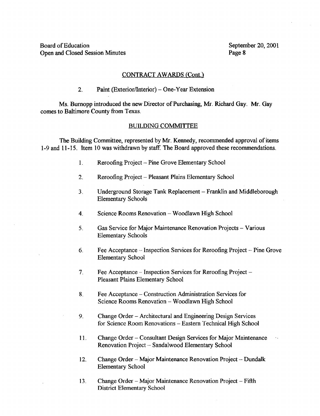### CONTRACT AWARDS (Cont.)

2. Paint (Exterior/Interior) – One-Year Extension

Ms. Burnopp introduced the new Director of Purchasing, Mr. Richard Gay. Mr. Gay comes to Baltimore County from Texas.

#### BUILDING COMMITTEE

The Building Committee, represented by Mr. Kennedy, recommended approval of items 1-9 and <sup>I</sup> I-15. Item 10 was withdrawn by staff. The Board approved these recommendations.

- 1. Reroofing Project Pine Grove Elementary School
- 2. Reroofing Project Pleasant Plains Elementary School
- <sup>3</sup> . Underground Storage Tank Replacement Franklin and Middleborough Elementary Schools
- 4. Science Rooms Renovation Woodlawn High School
- 5. Gas Service for Major Maintenance Renovation Projects Various Elementary Schools
- 6. Fee Acceptance  $-$  Inspection Services for Reroofing Project  $-$  Pine Grove Elementary School
- 7. Fee Acceptance Inspection Services for Reroofing Project Pleasant Plains Elementary School
- 8. Fee Acceptance Construction Administration Services for Science Rooms Renovation - Woodlawn High School
- 9. Change Order Architectural and Engineering Design Services for Science Room Renovations - Eastern Technical High School
- 11 . Change Order Consultant Design Services for Major Maintenance  $\tau_{\rm A}$ Renovation Project -- Sandalwood Elementary School
- 12. Change Order Major Maintenance Renovation Project Dundalk Elementary School
- 13. Change Order Major Maintenance Renovation Project Fifth District Elementary School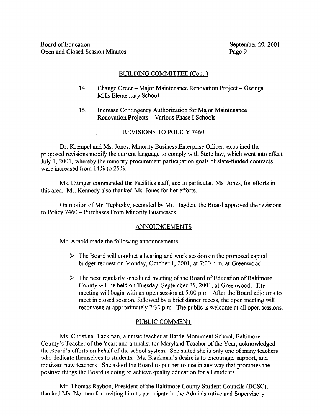### BUILDING COMMITTEE (Cont.)

- 14. Change Order Major Maintenance Renovation Project Owings Mills Elementary School
- 15. Increase Contingency Authorization for Major Maintenance Renovation Projects - Various Phase <sup>I</sup> Schools

#### REVISIONS TO POLICY 7460

Dr. Krempel and Ms. Jones, Minority Business Enterprise Officer, explained the proposed revisions modify the current language to comply with State law, which went into effect July 1, 2001, whereby the minority procurement participation goals of state-funded contracts were increased from 14% to 25% .

Ms. Ettinger commended the Facilities staff, and in particular, Ms. Jones, for efforts in this area. Mr. Kennedy also thanked Ms. Jones for her efforts.

On motion of Mr. Teplitzky, seconded by Mr. Hayden, the Board approved the revisions to Policy 7460 - Purchases From Minority Businesses .

#### ANNOUNCEMENTS

Mr. Arnold made the following announcements:

- $\triangleright$  The Board will conduct a hearing and work session on the proposed capital budget request on Monday, October 1, 2001, at 7:00 p.m. at Greenwood.
- $\triangleright$  The next regularly scheduled meeting of the Board of Education of Baltimore County will be held on Tuesday, September 25, 2001, at Greenwood. The meeting will begin with an open session at 5:00 p.m. After the Board adjourns to meet in closed session, followed by <sup>a</sup> brief dinner recess, the open meeting will reconvene at approximately 7:30 p.m. The public is welcome at all open sessions.

### PUBLIC COMMENT

Ms . Christina Blackman, a music teacher at Battle Monument School; Baltimore County's Teacher of the Year; and a finalist for Maryland Teacher of the Year, acknowledged the Board's efforts on behalf of the school system. She stated she is only one of many teachers who dedicate themselves to students. Ms. Blackman's desire is to encourage, support, and motivate new teachers. She asked the Board to put her to use in any way that promotes the positive things the Board is doing to achieve quality education for all students.

Mr. Thomas Raybon, President of the Baltimore County Student Councils (BCSC), thanked Ms. Norman for inviting him to participate in the Administrative and Supervisory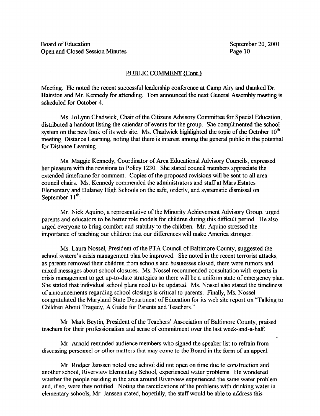#### PUBLIC COMMENT (Cont.

Meeting. He noted the recent successful leadership conference at Camp Airy and thanked Dr. Hairston and Mr. Kennedy for attending. Tom announced the next General Assembly meeting is scheduled for October 4 .

Ms. JoLynn Chadwick, Chair of the Citizens Advisory Committee for Special Education, distributed a handout listing the calendar of events for the group. She complimented the school system on the new look of its web site. Ms. Chadwick highlighted the topic of the October  $10<sup>th</sup>$ meeting, Distance Learning, noting that there is interest among the general public in the potential for Distance Learning.

Ms. Maggie Kennedy, Coordinator of Area Educational Advisory Councils, expressed her pleasure with the revisions to Policy 1230. She stated council members appreciate the extended timeframe for comment. Copies of the proposed revisions will be sent to all area council chairs. Ms. Kennedy commended the administrators and staff at Mars Estates Elementary and Dulaney High Schools on the safe, orderly, and systematic dismissal on September 11<sup>th</sup>.

Mr. Nick Aquino, <sup>a</sup> representative ofthe Minority Achievement Advisory Group, urged parents and educators to be better role models for children during this difficult period. He also urged everyone to bring comfort and stability to the children. Mr. Aquino stressed the importance of teaching our children that our differences will make America stronger.

Ms . Laura Nossel, President of the PTA Council of Baltimore County, suggested the school system's crisis management plan be improved. She noted in the recent terrorist attacks, as parents removed their children from schools and businesses closed, there were rumors and mixed messages about school closures. Ms. Nossel recommended consultation with experts in crisis management to get up-to-date strategies so there will be a uniform state of emergency plan. She stated that individual school plans need to be updated. Ms . Nossel also stated the timeliness of announcements regarding school closings is critical to parents . Finally, Ms. Nossel congratulated the Maryland State Department of Education for its web site report on "Talking to Children About Tragedy, A Guide for Parents and Teachers."

Mr . Mark Beytin, President of the Teachers' Association of Baltimore County, praised teachers for their professionalism and sense of commitment over the last week-and-a-half.

Mr. Arnold reminded audience members who signed the speaker list to refrain from discussing personnel or other matters that may come to the Board in the form of an appeal.

Mr . Rodger Janssen noted one school did not open on time due to construction and another school, Riverview Elementary School, experienced water problems. He wondered whether the people residing in the area around Riverview experienced the same water problem and, if so, were they notified. Noting the ramifications of the problems with drinking water in elementary schools, Mr. Janssen stated, hopefully, the staff would be able to address this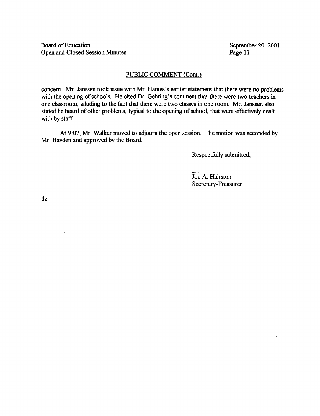Board of Education<br>
Open and Closed Session Minutes<br>
Page 11 Open and Closed Session Minutes

ų.

#### PUBLIC COMMENT (Cont.)

concern. Mr. Janssen took issue with Mr. Haines's earlier statement that there were no problems with the opening of schools. He cited Dr. Gehring's comment that there were two teachers in one classroom, alluding to the fact that there were two classes in one room. Mr. Janssen also stated he heard of other problems, typical to the opening of school, that were effectively dealt with by staff.

At 9:07, Mr. Walker moved to adjourn the open session. The motion was seconded by Mr. Hayden and approved by the Board.

Respectfully submitted,

Joe A. Hairston Secretary-Treasurer

dz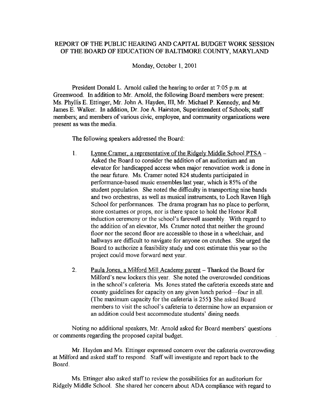# REPORT OF THE PUBLIC HEARING AND CAPITAL BUDGET WORK SESSION OF THE BOARD OF EDUCATION OF BALTIMORE COUNTY, MARYLAND

Monday, October 1, 2001

President Donald L. Arnold called the hearing to order at 7:05 p.m. at Greenwood. In addition to Mr. Arnold, the following Board members were present: Ms. Phyllis E. Ettinger, Mr. John A. Hayden, III, Mr. Michael P. Kennedy, and Mr. James E. Walker. In addition, Dr. Joe A. Hairston, Superintendent of Schools; staff members; and members of various civic, employee, and community organizations were present as was the media.

The following speakers addressed the Board:

- 1. Lynne Cramer, a representative of the Ridgely Middle School PTSA -Lynne Cramer, a representative of the Ridgely Middle School PTS<br>Asked the Board to consider the addition of an auditorium and an<br>elevator for handicapped access when major renovation work is d elevator for handicapped access when major renovation work is done in the near future. Ms. Cramer noted 824 students participated in performance-based music ensembles last year, which is 85% of the student population. She noted the difficulty in transporting nine bands and two orchestras, as well as musical instruments, to Loch Raven High School for performances. The drama program has no place to perform, store costumes or props, nor is there space to hold the Honor Roll induction ceremony or the school's farewell assembly. With regard to the addition of an elevator, Ms. Cramer noted that neither the ground floor nor the second floor are accessible to those in a wheelchair, and hallways are difficult to navigate for anyone on crutches. She urged the Board to authorize <sup>a</sup> feasibility study and cost estimate this year so the project could move forward next year.
- $\overline{2}$ . Paula Jones, a Milford Mill Academy parent – Thanked the Board for Milford's new lockers this year. She noted the overcrowded conditions in the school's cafeteria. Ms. Jones stated the cafeteria exceeds state and county guidelines for capacity on any given lunch period-four in all. (The maximum capacity for the cafeteria is 255) She asked Board members to visit the school's cafeteria to determine how an expansion or an addition could best accommodate students' dining needs.

Noting no additional speakers, Mr. Arnold asked for Board members' questions or comments regarding the proposed capital budget.

Mr. Hayden and Ms. Ettinger expressed concern over the cafeteria overcrowding at Milford and asked staff to respond. Staffwill investigate and report back to the Board.

Ms. Ettinger also asked staff to review the possibilities for an auditorium for Ridgely Middle School. She shared her concern about ADA compliance with regard to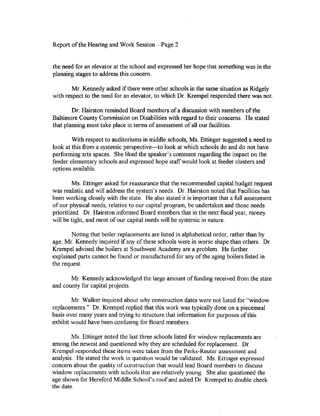Report of the Hearing and Work Session  $-$  Page 2

the need for an elevator at the school and expressed her hope that something was in the planning stages to address this concern.

Mr. Kennedy asked if there were other schools in the same situation as Ridgely with respect to the need for an elevator, to which Dr. Krempel responded there was not.

Dr. Hairston reminded Board members of a discussion with members of the Baltimore County Commission on Disabilities with regard to their concerns. He stated that planning must take place in terms of assessment of all our facilities .

With respect to auditoriums in middle schools, Ms. Ettinger suggested <sup>a</sup> need to look at this from a systemic perspective-to look at which schools do and do not have performing arts spaces. She liked the speaker's comment regarding the impact on the feeder elementary schools and expressed hope staff would look at feeder clusters and options available.

Ms. Ettinger asked for reassurance that the recommended capital budget request was realistic and will address the system's needs. Dr. Hairston noted that Facilities has been working closely with the state. He also stated it is important that a full assessment of our physical needs, relative to our capital program, be undertaken and those needs prioritized. Dr. Hairston informed Board members that in the next fiscal year, money will be tight, and most of our capital needs will be systemic in nature.

Noting that boiler replacements are listed in alphabetical order, rather than by age, Mr. Kennedy inquired if any of these schools were in worse shape than others. Dr. Krempel advised the boilers at Southwest Academy are a problem. He further explained parts cannot be found or manufactured for any of the aging boilers listed in the request.

Mr. Kennedy acknowledged the large amount of funding received from the state and county for capital projects

Mr. Walker inquired about why construction dates were not listed for "window replacements." Dr. Krempel replied that this work was typically done on a piecemeal basis over many years and trying to structure that information for purposes of this exhibit would have been confusing for Board members.

Ms. Ettinger noted the last three schools listed for window replacements are among the newest and questioned why they are scheduled for replacement. Dr. Krempel responded these items were taken from the Perks-Reuter assessment and analysis. He stated the work in question would be validated. Ms. Ettinger expressed concern about the quality of construction that would lead Board members to discuss window replacements with schools that are relatively young. She also questioned the age shown for Hereford Middle School's roof and asked Dr. Krempel to double check the date.